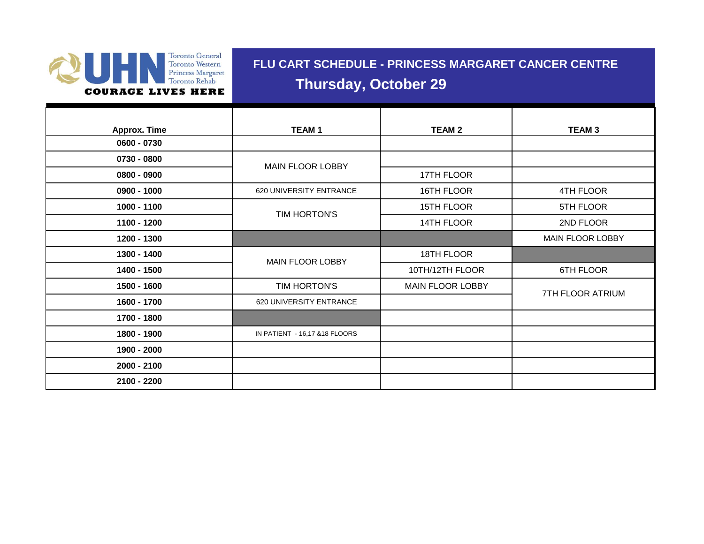

## **FLU CART SCHEDULE - PRINCESS MARGARET CANCER CENTRE Thursday, October 29**

| <b>Approx. Time</b> | <b>TEAM1</b>                   | <b>TEAM 2</b>    | <b>TEAM3</b>     |
|---------------------|--------------------------------|------------------|------------------|
| 0600 - 0730         |                                |                  |                  |
| 0730 - 0800         | MAIN FLOOR LOBBY               |                  |                  |
| 0800 - 0900         |                                | 17TH FLOOR       |                  |
| 0900 - 1000         | 620 UNIVERSITY ENTRANCE        | 16TH FLOOR       | 4TH FLOOR        |
| 1000 - 1100         | TIM HORTON'S                   | 15TH FLOOR       | 5TH FLOOR        |
| 1100 - 1200         |                                | 14TH FLOOR       | 2ND FLOOR        |
| 1200 - 1300         |                                |                  | MAIN FLOOR LOBBY |
| 1300 - 1400         | MAIN FLOOR LOBBY               | 18TH FLOOR       |                  |
| 1400 - 1500         |                                | 10TH/12TH FLOOR  | 6TH FLOOR        |
| 1500 - 1600         | TIM HORTON'S                   | MAIN FLOOR LOBBY | 7TH FLOOR ATRIUM |
| 1600 - 1700         | 620 UNIVERSITY ENTRANCE        |                  |                  |
| 1700 - 1800         |                                |                  |                  |
| 1800 - 1900         | IN PATIENT - 16,17 & 18 FLOORS |                  |                  |
| 1900 - 2000         |                                |                  |                  |
| 2000 - 2100         |                                |                  |                  |
| 2100 - 2200         |                                |                  |                  |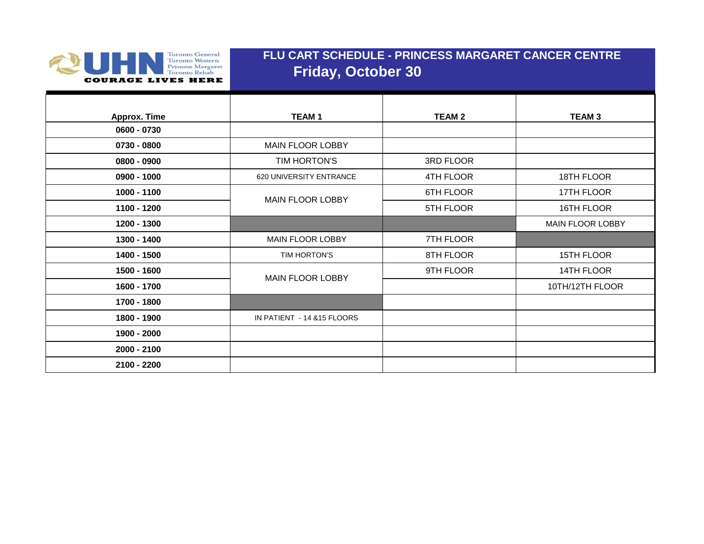

## **FLU CART SCHEDULE - PRINCESS MARGARET CANCER CENTRE Friday, October 30**

| <b>Approx. Time</b> | <b>TEAM1</b>                | <b>TEAM 2</b> | <b>TEAM3</b>            |
|---------------------|-----------------------------|---------------|-------------------------|
| 0600 - 0730         |                             |               |                         |
| 0730 - 0800         | <b>MAIN FLOOR LOBBY</b>     |               |                         |
| 0800 - 0900         | TIM HORTON'S                | 3RD FLOOR     |                         |
| $0900 - 1000$       | 620 UNIVERSITY ENTRANCE     | 4TH FLOOR     | 18TH FLOOR              |
| 1000 - 1100         | MAIN FLOOR LOBBY            | 6TH FLOOR     | 17TH FLOOR              |
| 1100 - 1200         |                             | 5TH FLOOR     | 16TH FLOOR              |
| 1200 - 1300         |                             |               | <b>MAIN FLOOR LOBBY</b> |
| 1300 - 1400         | <b>MAIN FLOOR LOBBY</b>     | 7TH FLOOR     |                         |
| 1400 - 1500         | TIM HORTON'S                | 8TH FLOOR     | 15TH FLOOR              |
| 1500 - 1600         | <b>MAIN FLOOR LOBBY</b>     | 9TH FLOOR     | 14TH FLOOR              |
| 1600 - 1700         |                             |               | 10TH/12TH FLOOR         |
| 1700 - 1800         |                             |               |                         |
| 1800 - 1900         | IN PATIENT - 14 & 15 FLOORS |               |                         |
| 1900 - 2000         |                             |               |                         |
| 2000 - 2100         |                             |               |                         |
| 2100 - 2200         |                             |               |                         |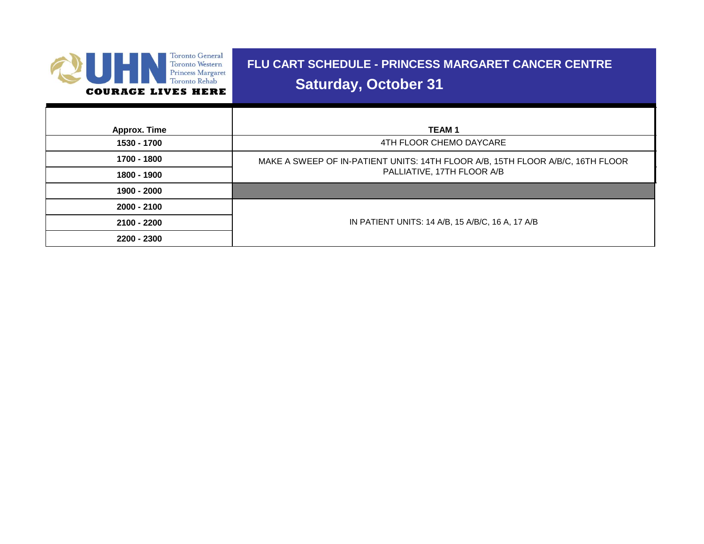

# **FLU CART SCHEDULE - PRINCESS MARGARET CANCER CENTRE Saturday, October 31**

| Approx. Time | <b>TEAM1</b>                                                                   |  |
|--------------|--------------------------------------------------------------------------------|--|
| 1530 - 1700  | 4TH FLOOR CHEMO DAYCARE                                                        |  |
| 1700 - 1800  | MAKE A SWEEP OF IN-PATIENT UNITS: 14TH FLOOR A/B, 15TH FLOOR A/B/C, 16TH FLOOR |  |
| 1800 - 1900  | PALLIATIVE, 17TH FLOOR A/B                                                     |  |
| 1900 - 2000  |                                                                                |  |
| 2000 - 2100  |                                                                                |  |
| 2100 - 2200  | IN PATIENT UNITS: 14 A/B, 15 A/B/C, 16 A, 17 A/B                               |  |
| 2200 - 2300  |                                                                                |  |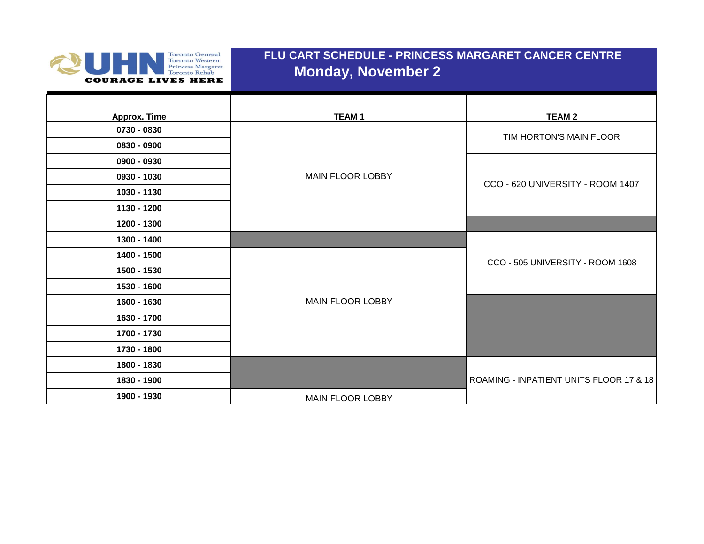

## **FLU CART SCHEDULE - PRINCESS MARGARET CANCER CENTRE Monday, November 2**

| <b>Approx. Time</b> | <b>TEAM1</b>            | <b>TEAM 2</b>                           |
|---------------------|-------------------------|-----------------------------------------|
| 0730 - 0830         |                         | TIM HORTON'S MAIN FLOOR                 |
| 0830 - 0900         |                         |                                         |
| 0900 - 0930         |                         |                                         |
| 0930 - 1030         | <b>MAIN FLOOR LOBBY</b> | CCO - 620 UNIVERSITY - ROOM 1407        |
| 1030 - 1130         |                         |                                         |
| 1130 - 1200         |                         |                                         |
| 1200 - 1300         |                         |                                         |
| 1300 - 1400         |                         |                                         |
| 1400 - 1500         |                         | CCO - 505 UNIVERSITY - ROOM 1608        |
| 1500 - 1530         |                         |                                         |
| 1530 - 1600         |                         |                                         |
| 1600 - 1630         | <b>MAIN FLOOR LOBBY</b> |                                         |
| 1630 - 1700         |                         |                                         |
| 1700 - 1730         |                         |                                         |
| 1730 - 1800         |                         |                                         |
| 1800 - 1830         |                         |                                         |
| 1830 - 1900         |                         | ROAMING - INPATIENT UNITS FLOOR 17 & 18 |
| 1900 - 1930         | MAIN FLOOR LOBBY        |                                         |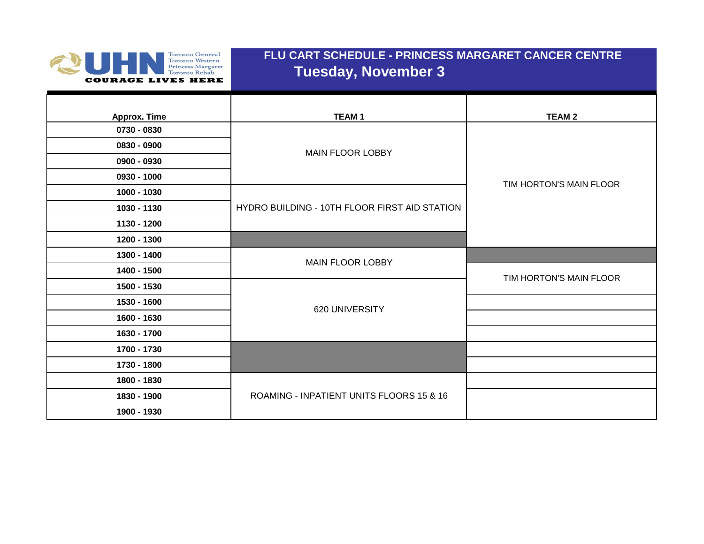

## **FLU CART SCHEDULE - PRINCESS MARGARET CANCER CENTRE Tuesday, November 3**

| <b>Approx. Time</b> | <b>TEAM1</b>                                  | <b>TEAM 2</b>           |
|---------------------|-----------------------------------------------|-------------------------|
| 0730 - 0830         |                                               |                         |
| 0830 - 0900         |                                               |                         |
| 0900 - 0930         | <b>MAIN FLOOR LOBBY</b>                       |                         |
| 0930 - 1000         |                                               | TIM HORTON'S MAIN FLOOR |
| 1000 - 1030         |                                               |                         |
| 1030 - 1130         | HYDRO BUILDING - 10TH FLOOR FIRST AID STATION |                         |
| 1130 - 1200         |                                               |                         |
| 1200 - 1300         |                                               |                         |
| 1300 - 1400         | <b>MAIN FLOOR LOBBY</b>                       |                         |
| 1400 - 1500         |                                               | TIM HORTON'S MAIN FLOOR |
| 1500 - 1530         |                                               |                         |
| 1530 - 1600         | 620 UNIVERSITY                                |                         |
| 1600 - 1630         |                                               |                         |
| 1630 - 1700         |                                               |                         |
| 1700 - 1730         |                                               |                         |
| 1730 - 1800         |                                               |                         |
| 1800 - 1830         |                                               |                         |
| 1830 - 1900         | ROAMING - INPATIENT UNITS FLOORS 15 & 16      |                         |
| 1900 - 1930         |                                               |                         |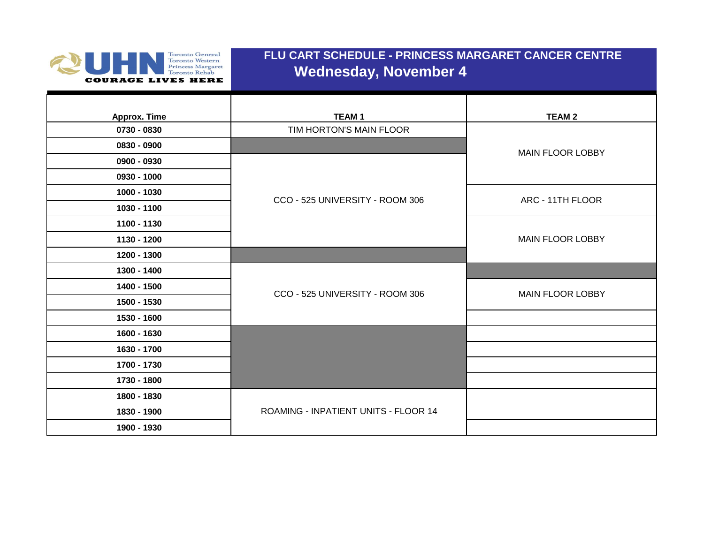

## **FLU CART SCHEDULE - PRINCESS MARGARET CANCER CENTRE Wednesday, November 4**

| Approx. Time | <b>TEAM1</b>                         | <b>TEAM 2</b>           |
|--------------|--------------------------------------|-------------------------|
| 0730 - 0830  | TIM HORTON'S MAIN FLOOR              |                         |
| 0830 - 0900  |                                      | <b>MAIN FLOOR LOBBY</b> |
| 0900 - 0930  |                                      |                         |
| 0930 - 1000  |                                      |                         |
| 1000 - 1030  | CCO - 525 UNIVERSITY - ROOM 306      | ARC - 11TH FLOOR        |
| 1030 - 1100  |                                      |                         |
| 1100 - 1130  |                                      |                         |
| 1130 - 1200  |                                      | <b>MAIN FLOOR LOBBY</b> |
| 1200 - 1300  |                                      |                         |
| 1300 - 1400  |                                      |                         |
| 1400 - 1500  | CCO - 525 UNIVERSITY - ROOM 306      | <b>MAIN FLOOR LOBBY</b> |
| 1500 - 1530  |                                      |                         |
| 1530 - 1600  |                                      |                         |
| 1600 - 1630  |                                      |                         |
| 1630 - 1700  |                                      |                         |
| 1700 - 1730  |                                      |                         |
| 1730 - 1800  |                                      |                         |
| 1800 - 1830  |                                      |                         |
| 1830 - 1900  | ROAMING - INPATIENT UNITS - FLOOR 14 |                         |
| 1900 - 1930  |                                      |                         |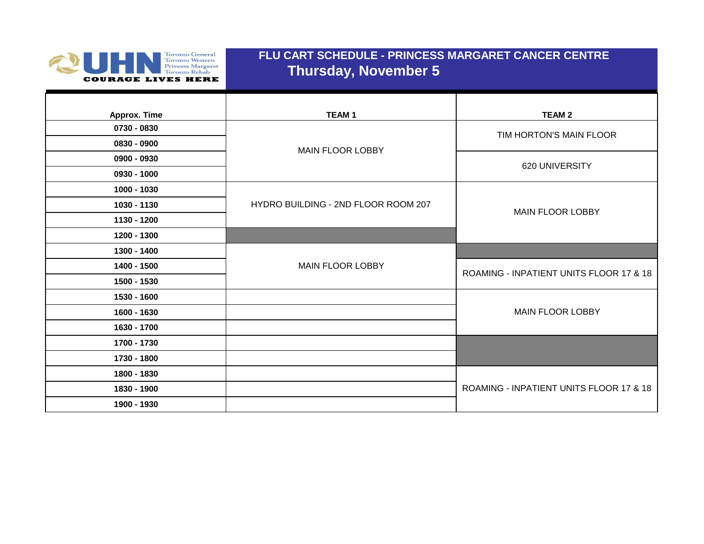

#### **FLU CART SCHEDULE - PRINCESS MARGARET CANCER CENTRE Thursday, November 5**

| Approx. Time | <b>TEAM1</b>                        | <b>TEAM 2</b>                           |
|--------------|-------------------------------------|-----------------------------------------|
| 0730 - 0830  |                                     |                                         |
| 0830 - 0900  | <b>MAIN FLOOR LOBBY</b>             | TIM HORTON'S MAIN FLOOR                 |
| 0900 - 0930  |                                     | 620 UNIVERSITY                          |
| 0930 - 1000  |                                     |                                         |
| 1000 - 1030  |                                     |                                         |
| 1030 - 1130  | HYDRO BUILDING - 2ND FLOOR ROOM 207 | <b>MAIN FLOOR LOBBY</b>                 |
| 1130 - 1200  |                                     |                                         |
| 1200 - 1300  |                                     |                                         |
| 1300 - 1400  |                                     |                                         |
| 1400 - 1500  | <b>MAIN FLOOR LOBBY</b>             | ROAMING - INPATIENT UNITS FLOOR 17 & 18 |
| 1500 - 1530  |                                     |                                         |
| 1530 - 1600  |                                     |                                         |
| 1600 - 1630  |                                     | <b>MAIN FLOOR LOBBY</b>                 |
| 1630 - 1700  |                                     |                                         |
| 1700 - 1730  |                                     |                                         |
| 1730 - 1800  |                                     |                                         |
| 1800 - 1830  |                                     |                                         |
| 1830 - 1900  |                                     | ROAMING - INPATIENT UNITS FLOOR 17 & 18 |
| 1900 - 1930  |                                     |                                         |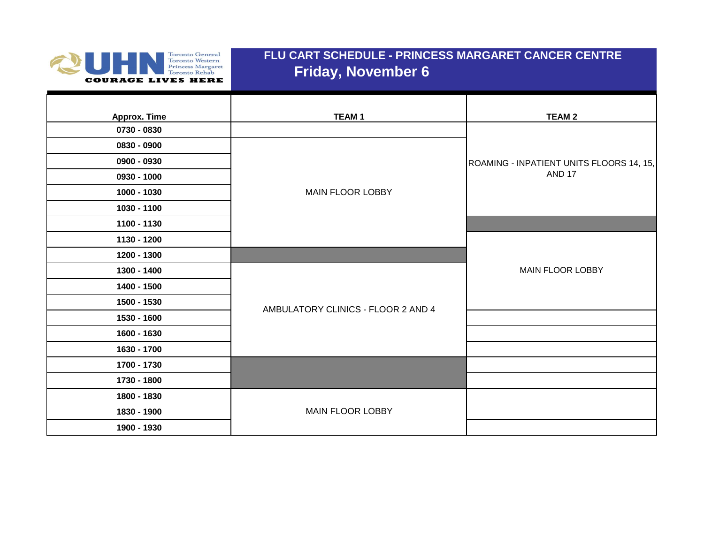

## **FLU CART SCHEDULE - PRINCESS MARGARET CANCER CENTRE Friday, November 6**

| <b>Approx. Time</b><br>0730 - 0830 | <b>TEAM1</b>                       | <b>TEAM 2</b>                            |
|------------------------------------|------------------------------------|------------------------------------------|
| 0830 - 0900                        |                                    |                                          |
| 0900 - 0930                        |                                    | ROAMING - INPATIENT UNITS FLOORS 14, 15, |
| 0930 - 1000                        |                                    | <b>AND 17</b>                            |
| 1000 - 1030                        | <b>MAIN FLOOR LOBBY</b>            |                                          |
| 1030 - 1100                        |                                    |                                          |
| 1100 - 1130                        |                                    |                                          |
| 1130 - 1200                        |                                    |                                          |
| 1200 - 1300                        |                                    |                                          |
| 1300 - 1400                        |                                    | <b>MAIN FLOOR LOBBY</b>                  |
| 1400 - 1500                        |                                    |                                          |
| 1500 - 1530                        | AMBULATORY CLINICS - FLOOR 2 AND 4 |                                          |
| 1530 - 1600                        |                                    |                                          |
| 1600 - 1630                        |                                    |                                          |
| 1630 - 1700                        |                                    |                                          |
| 1700 - 1730                        |                                    |                                          |
| 1730 - 1800                        |                                    |                                          |
| 1800 - 1830                        |                                    |                                          |
| 1830 - 1900                        | <b>MAIN FLOOR LOBBY</b>            |                                          |
| 1900 - 1930                        |                                    |                                          |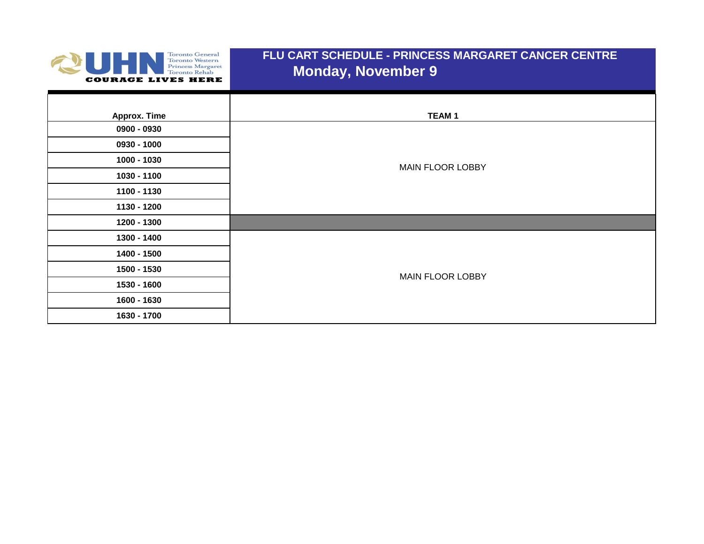

## **FLU CART SCHEDULE - PRINCESS MARGARET CANCER CENTRE Monday, November 9**

| Approx. Time | <b>TEAM1</b>            |
|--------------|-------------------------|
| 0900 - 0930  |                         |
| 0930 - 1000  |                         |
| 1000 - 1030  | MAIN FLOOR LOBBY        |
| 1030 - 1100  |                         |
| 1100 - 1130  |                         |
| 1130 - 1200  |                         |
| 1200 - 1300  |                         |
| 1300 - 1400  |                         |
| 1400 - 1500  |                         |
| 1500 - 1530  | <b>MAIN FLOOR LOBBY</b> |
| 1530 - 1600  |                         |
| 1600 - 1630  |                         |
| 1630 - 1700  |                         |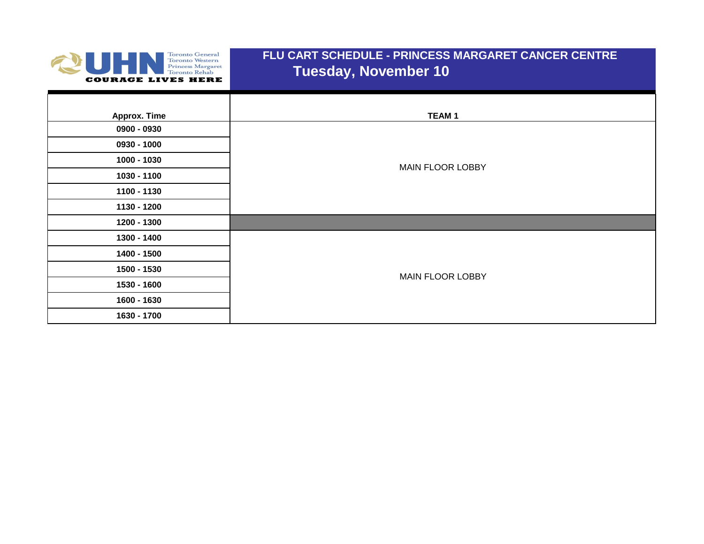

#### **FLU CART SCHEDULE - PRINCESS MARGARET CANCER CENTRE Tuesday, November 10**

| Approx. Time | <b>TEAM1</b>            |
|--------------|-------------------------|
| 0900 - 0930  |                         |
| 0930 - 1000  |                         |
| 1000 - 1030  | MAIN FLOOR LOBBY        |
| 1030 - 1100  |                         |
| 1100 - 1130  |                         |
| 1130 - 1200  |                         |
| 1200 - 1300  |                         |
| 1300 - 1400  |                         |
| 1400 - 1500  |                         |
| 1500 - 1530  | <b>MAIN FLOOR LOBBY</b> |
| 1530 - 1600  |                         |
| 1600 - 1630  |                         |
| 1630 - 1700  |                         |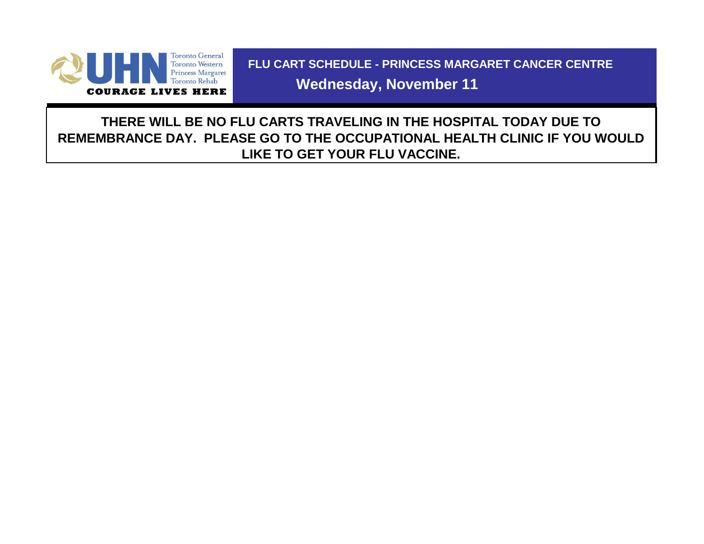

 **FLU CART SCHEDULE - PRINCESS MARGARET CANCER CENTRE**

 **Wednesday, November 11**

**THERE WILL BE NO FLU CARTS TRAVELING IN THE HOSPITAL TODAY DUE TO REMEMBRANCE DAY. PLEASE GO TO THE OCCUPATIONAL HEALTH CLINIC IF YOU WOULD LIKE TO GET YOUR FLU VACCINE.**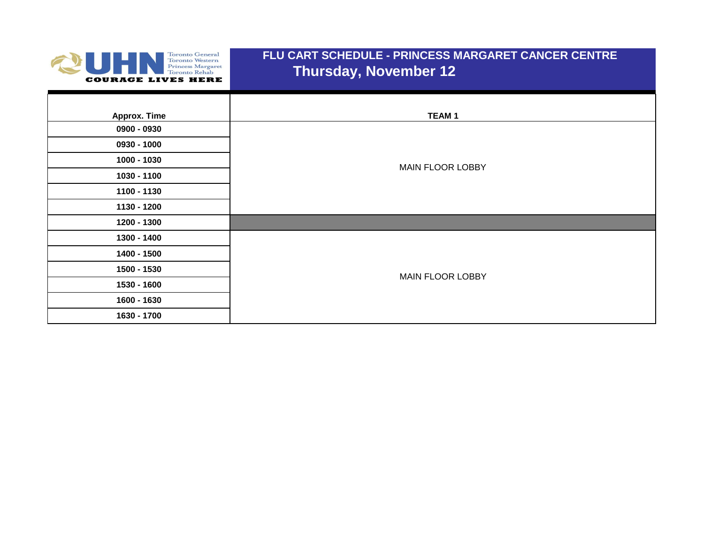

## **FLU CART SCHEDULE - PRINCESS MARGARET CANCER CENTRE Thursday, November 12**

| Approx. Time | <b>TEAM1</b>            |
|--------------|-------------------------|
| 0900 - 0930  |                         |
| 0930 - 1000  |                         |
| 1000 - 1030  | <b>MAIN FLOOR LOBBY</b> |
| 1030 - 1100  |                         |
| 1100 - 1130  |                         |
| 1130 - 1200  |                         |
| 1200 - 1300  |                         |
| 1300 - 1400  |                         |
| 1400 - 1500  |                         |
| 1500 - 1530  | <b>MAIN FLOOR LOBBY</b> |
| 1530 - 1600  |                         |
| 1600 - 1630  |                         |
| 1630 - 1700  |                         |